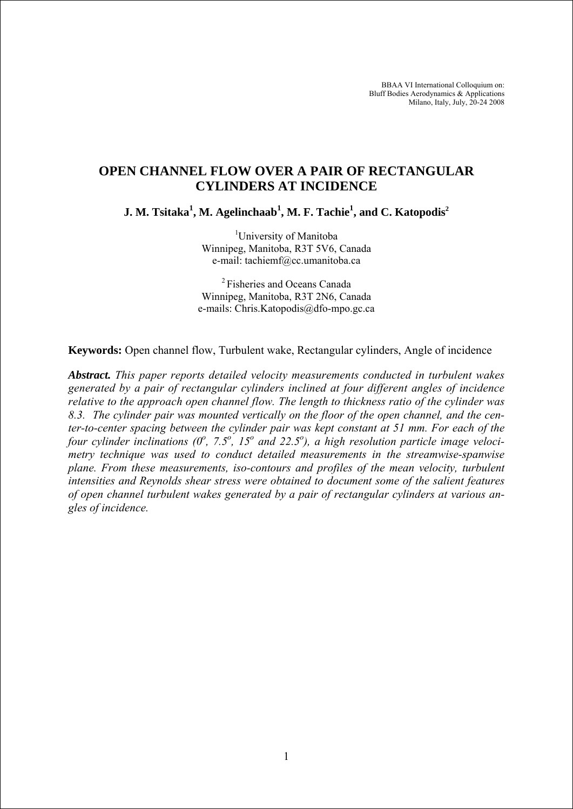BBAA VI International Colloquium on: Bluff Bodies Aerodynamics & Applications Milano, Italy, July, 20-24 2008

# **OPEN CHANNEL FLOW OVER A PAIR OF RECTANGULAR CYLINDERS AT INCIDENCE**

 $\mathbf{J}.$   $\mathbf{M}.$   $\mathbf{Tsitaka}^{1},$   $\mathbf{M}.$   $\mathbf{Agelinchaab}^{1},$   $\mathbf{M}.$   $\mathbf{F}.$   $\mathbf{Tachie}^{1},$   $\mathbf{and}$   $\mathbf{C}.$   $\mathbf{Katopodis}^{2}$ 

<sup>1</sup>University of Manitoba Winnipeg, Manitoba, R3T 5V6, Canada e-mail: tachiemf@cc.umanitoba.ca

2 Fisheries and Oceans Canada Winnipeg, Manitoba, R3T 2N6, Canada e-mails: [Chris.Katopodis@dfo-mpo.gc.ca](mailto:Chris.Katopodis@dfo-mpo.gc.ca)

**Keywords:** Open channel flow, Turbulent wake, Rectangular cylinders, Angle of incidence

*Abstract. This paper reports detailed velocity measurements conducted in turbulent wakes generated by a pair of rectangular cylinders inclined at four different angles of incidence relative to the approach open channel flow. The length to thickness ratio of the cylinder was 8.3. The cylinder pair was mounted vertically on the floor of the open channel, and the center-to-center spacing between the cylinder pair was kept constant at 51 mm. For each of the four cylinder inclinations (0<sup>o</sup>, 7.5<sup>o</sup>, 15<sup>o</sup> and 22.5<sup>o</sup>), a high resolution particle image velocimetry technique was used to conduct detailed measurements in the streamwise-spanwise plane. From these measurements, iso-contours and profiles of the mean velocity, turbulent intensities and Reynolds shear stress were obtained to document some of the salient features of open channel turbulent wakes generated by a pair of rectangular cylinders at various angles of incidence.*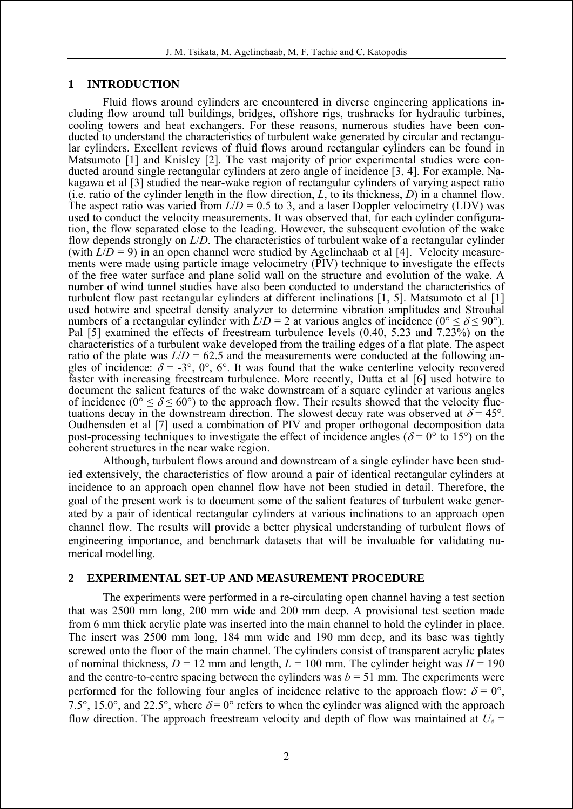### **1 INTRODUCTION**

Fluid flows around cylinders are encountered in diverse engineering applications including flow around tall buildings, bridges, offshore rigs, trashracks for hydraulic turbines, cooling towers and heat exchangers. For these reasons, numerous studies have been conducted to understand the characteristics of turbulent wake generated by circular and rectangular cylinders. Excellent reviews of fluid flows around rectangular cylinders can be found in Matsumoto [1] and Knisley [2]. The vast majority of prior experimental studies were conducted around single rectangular cylinders at zero angle of incidence [3, 4]. For example, Nakagawa et al [3] studied the near-wake region of rectangular cylinders of varying aspect ratio (i.e. ratio of the cylinder length in the flow direction, *L*, to its thickness, *D*) in a channel flow. The aspect ratio was varied from  $L/D = 0.5$  to 3, and a laser Doppler velocimetry (LDV) was used to conduct the velocity measurements. It was observed that, for each cylinder configuration, the flow separated close to the leading. However, the subsequent evolution of the wake flow depends strongly on *L*/*D*. The characteristics of turbulent wake of a rectangular cylinder (with  $L/D = 9$ ) in an open channel were studied by Agelinchaab et al [4]. Velocity measurements were made using particle image velocimetry (PIV) technique to investigate the effects of the free water surface and plane solid wall on the structure and evolution of the wake. A number of wind tunnel studies have also been conducted to understand the characteristics of turbulent flow past rectangular cylinders at different inclinations [1, 5]. Matsumoto et al [1] used hotwire and spectral density analyzer to determine vibration amplitudes and Strouhal numbers of a rectangular cylinder with  $L/D = 2$  at various angles of incidence ( $0^{\circ} \le \delta \le 90^{\circ}$ ). Pal [5] examined the effects of freestream turbulence levels (0.40, 5.23 and 7.23%) on the characteristics of a turbulent wake developed from the trailing edges of a flat plate. The aspect ratio of the plate was  $L/D = 62.5$  and the measurements were conducted at the following angles of incidence:  $\delta = -3^{\circ}$ ,  $0^{\circ}$ ,  $6^{\circ}$ . It was found that the wake centerline velocity recovered faster with increasing freestream turbulence. More recently, Dutta et al [6] used hotwire to document the salient features of the wake downstream of a square cylinder at various angles of incidence ( $0^{\circ} \le \delta \le 60^{\circ}$ ) to the approach flow. Their results showed that the velocity fluctuations decay in the downstream direction. The slowest decay rate was observed at  $\delta = 45^{\circ}$ . Oudhensden et al [7] used a combination of PIV and proper orthogonal decomposition data post-processing techniques to investigate the effect of incidence angles ( $\delta = 0^{\circ}$  to 15°) on the coherent structures in the near wake region.

Although, turbulent flows around and downstream of a single cylinder have been studied extensively, the characteristics of flow around a pair of identical rectangular cylinders at incidence to an approach open channel flow have not been studied in detail. Therefore, the goal of the present work is to document some of the salient features of turbulent wake generated by a pair of identical rectangular cylinders at various inclinations to an approach open channel flow. The results will provide a better physical understanding of turbulent flows of engineering importance, and benchmark datasets that will be invaluable for validating numerical modelling.

## **2 EXPERIMENTAL SET-UP AND MEASUREMENT PROCEDURE**

The experiments were performed in a re-circulating open channel having a test section that was 2500 mm long, 200 mm wide and 200 mm deep. A provisional test section made from 6 mm thick acrylic plate was inserted into the main channel to hold the cylinder in place. The insert was 2500 mm long, 184 mm wide and 190 mm deep, and its base was tightly screwed onto the floor of the main channel. The cylinders consist of transparent acrylic plates of nominal thickness,  $D = 12$  mm and length,  $L = 100$  mm. The cylinder height was  $H = 190$ and the centre-to-centre spacing between the cylinders was  $b = 51$  mm. The experiments were performed for the following four angles of incidence relative to the approach flow:  $\delta = 0^{\circ}$ , 7.5°, 15.0°, and 22.5°, where  $\delta = 0$ ° refers to when the cylinder was aligned with the approach flow direction. The approach freestream velocity and depth of flow was maintained at  $U_e$  =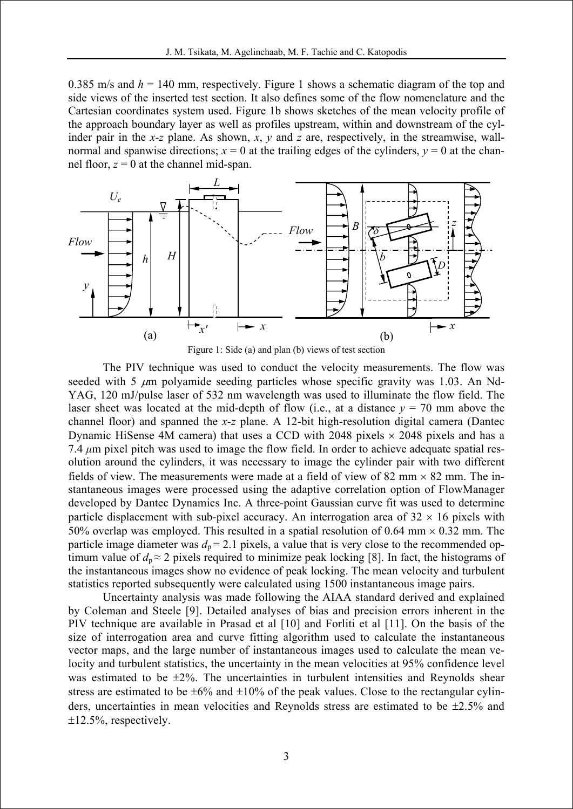0.385 m/s and *h* = 140 mm, respectively. Figure 1 shows a schematic diagram of the top and side views of the inserted test section. It also defines some of the flow nomenclature and the Cartesian coordinates system used. Figure 1b shows sketches of the mean velocity profile of the approach boundary layer as well as profiles upstream, within and downstream of the cylinder pair in the *x-z* plane. As shown, *x*, *y* and *z* are, respectively, in the streamwise, wallnormal and spanwise directions;  $x = 0$  at the trailing edges of the cylinders,  $y = 0$  at the channel floor,  $z = 0$  at the channel mid-span.



The PIV technique was used to conduct the velocity measurements. The flow was seeded with 5  $\mu$ m polyamide seeding particles whose specific gravity was 1.03. An Nd-YAG, 120 mJ/pulse laser of 532 nm wavelength was used to illuminate the flow field. The laser sheet was located at the mid-depth of flow (i.e., at a distance  $y = 70$  mm above the channel floor) and spanned the *x*-*z* plane. A 12-bit high-resolution digital camera (Dantec Dynamic HiSense 4M camera) that uses a CCD with 2048 pixels  $\times$  2048 pixels and has a 7.4 *μ*m pixel pitch was used to image the flow field. In order to achieve adequate spatial resolution around the cylinders, it was necessary to image the cylinder pair with two different fields of view. The measurements were made at a field of view of 82 mm  $\times$  82 mm. The instantaneous images were processed using the adaptive correlation option of FlowManager developed by Dantec Dynamics Inc. A three-point Gaussian curve fit was used to determine particle displacement with sub-pixel accuracy. An interrogation area of  $32 \times 16$  pixels with 50% overlap was employed. This resulted in a spatial resolution of 0.64 mm × 0.32 mm. The particle image diameter was  $d_p = 2.1$  pixels, a value that is very close to the recommended optimum value of  $d_p \approx 2$  pixels required to minimize peak locking [8]. In fact, the histograms of the instantaneous images show no evidence of peak locking. The mean velocity and turbulent statistics reported subsequently were calculated using 1500 instantaneous image pairs.

Uncertainty analysis was made following the AIAA standard derived and explained by Coleman and Steele [9]. Detailed analyses of bias and precision errors inherent in the PIV technique are available in Prasad et al [10] and Forliti et al [11]. On the basis of the size of interrogation area and curve fitting algorithm used to calculate the instantaneous vector maps, and the large number of instantaneous images used to calculate the mean velocity and turbulent statistics, the uncertainty in the mean velocities at 95% confidence level was estimated to be  $\pm 2\%$ . The uncertainties in turbulent intensities and Reynolds shear stress are estimated to be  $\pm 6\%$  and  $\pm 10\%$  of the peak values. Close to the rectangular cylinders, uncertainties in mean velocities and Reynolds stress are estimated to be ±2.5% and ±12.5%, respectively.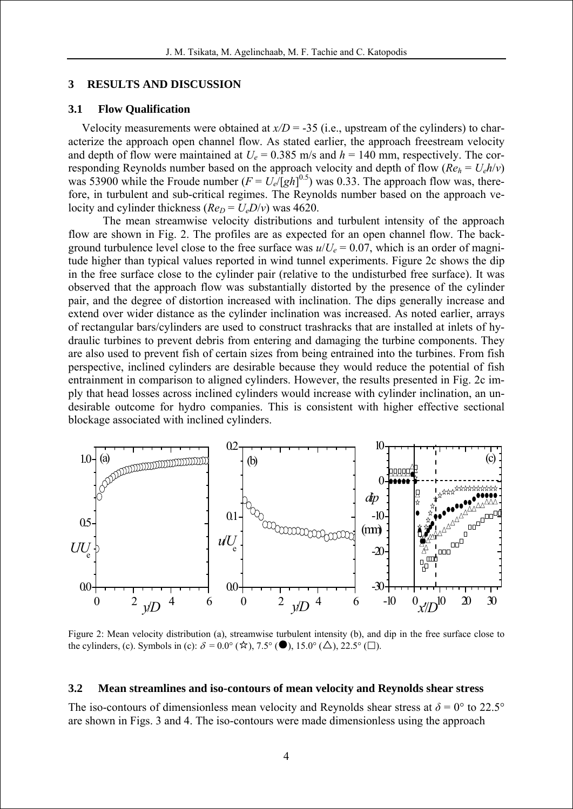### **3 RESULTS AND DISCUSSION**

#### **3.1 Flow Qualification**

Velocity measurements were obtained at *x/D* = -35 (i.e., upstream of the cylinders) to characterize the approach open channel flow. As stated earlier, the approach freestream velocity and depth of flow were maintained at  $U_e = 0.385$  m/s and  $h = 140$  mm, respectively. The corresponding Reynolds number based on the approach velocity and depth of flow  $(Re_h = U_e h/v)$ was 53900 while the Froude number  $(F = U_e/[gh]^{0.5})$  was 0.33. The approach flow was, therefore, in turbulent and sub-critical regimes. The Reynolds number based on the approach velocity and cylinder thickness  $(Re_D = U_e D/v)$  was 4620.

The mean streamwise velocity distributions and turbulent intensity of the approach flow are shown in Fig. 2. The profiles are as expected for an open channel flow. The background turbulence level close to the free surface was  $u/U_e = 0.07$ , which is an order of magnitude higher than typical values reported in wind tunnel experiments. Figure 2c shows the dip in the free surface close to the cylinder pair (relative to the undisturbed free surface). It was observed that the approach flow was substantially distorted by the presence of the cylinder pair, and the degree of distortion increased with inclination. The dips generally increase and extend over wider distance as the cylinder inclination was increased. As noted earlier, arrays of rectangular bars/cylinders are used to construct trashracks that are installed at inlets of hydraulic turbines to prevent debris from entering and damaging the turbine components. They are also used to prevent fish of certain sizes from being entrained into the turbines. From fish perspective, inclined cylinders are desirable because they would reduce the potential of fish entrainment in comparison to aligned cylinders. However, the results presented in Fig. 2c imply that head losses across inclined cylinders would increase with cylinder inclination, an undesirable outcome for hydro companies. This is consistent with higher effective sectional blockage associated with inclined cylinders.



Figure 2: Mean velocity distribution (a), streamwise turbulent intensity (b), and dip in the free surface close to the cylinders, (c). Symbols in (c):  $\delta = 0.0^{\circ}$  ( $\star$ ), 7.5° ( $\bullet$ ), 15.0° ( $\Delta$ ), 22.5° ( $\Box$ ).

#### **3.2 Mean streamlines and iso-contours of mean velocity and Reynolds shear stress**

The iso-contours of dimensionless mean velocity and Reynolds shear stress at  $\delta = 0^{\circ}$  to 22.5° are shown in Figs. 3 and 4. The iso-contours were made dimensionless using the approach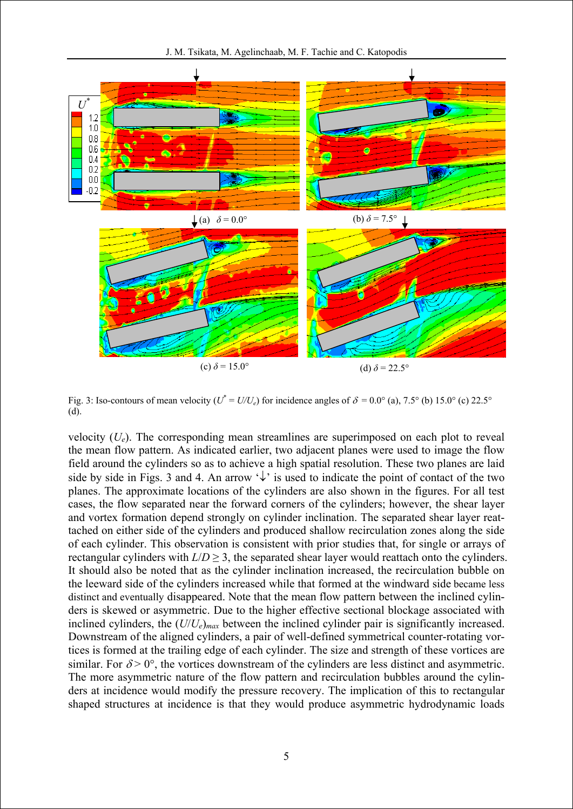J. M. Tsikata, M. Agelinchaab, M. F. Tachie and C. Katopodis



Fig. 3: Iso-contours of mean velocity ( $U^* = U/U_e$ ) for incidence angles of  $\delta = 0.0^{\circ}$  (a), 7.5° (b) 15.0° (c) 22.5° (d).

velocity (*Ue*). The corresponding mean streamlines are superimposed on each plot to reveal the mean flow pattern. As indicated earlier, two adjacent planes were used to image the flow field around the cylinders so as to achieve a high spatial resolution. These two planes are laid side by side in Figs. 3 and 4. An arrow  $\psi$  is used to indicate the point of contact of the two planes. The approximate locations of the cylinders are also shown in the figures. For all test cases, the flow separated near the forward corners of the cylinders; however, the shear layer and vortex formation depend strongly on cylinder inclination. The separated shear layer reattached on either side of the cylinders and produced shallow recirculation zones along the side of each cylinder. This observation is consistent with prior studies that, for single or arrays of rectangular cylinders with  $L/D \geq 3$ , the separated shear layer would reattach onto the cylinders. It should also be noted that as the cylinder inclination increased, the recirculation bubble on the leeward side of the cylinders increased while that formed at the windward side became less distinct and eventually disappeared. Note that the mean flow pattern between the inclined cylinders is skewed or asymmetric. Due to the higher effective sectional blockage associated with inclined cylinders, the (*U*/*Ue*)*max* between the inclined cylinder pair is significantly increased. Downstream of the aligned cylinders, a pair of well-defined symmetrical counter-rotating vortices is formed at the trailing edge of each cylinder. The size and strength of these vortices are similar. For  $\delta$  > 0°, the vortices downstream of the cylinders are less distinct and asymmetric. The more asymmetric nature of the flow pattern and recirculation bubbles around the cylinders at incidence would modify the pressure recovery. The implication of this to rectangular shaped structures at incidence is that they would produce asymmetric hydrodynamic loads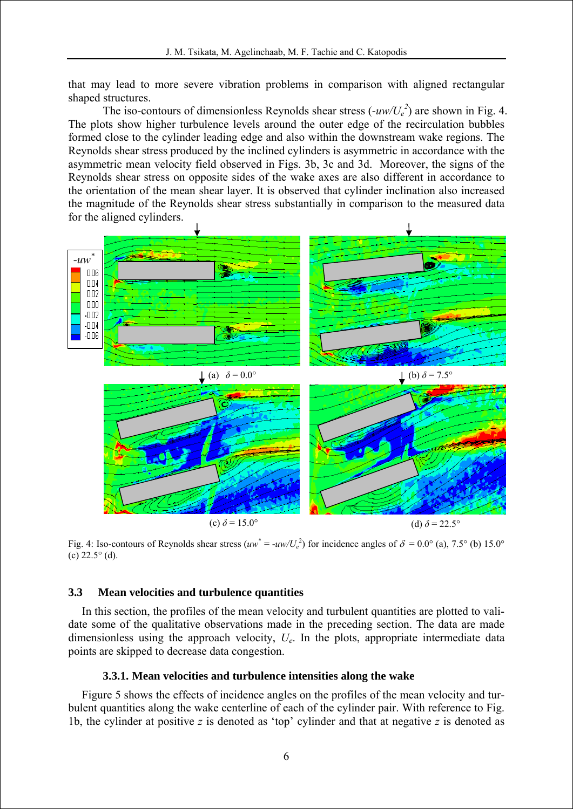that may lead to more severe vibration problems in comparison with aligned rectangular shaped structures.

The iso-contours of dimensionless Reynolds shear stress  $(-uw/U_e^2)$  are shown in Fig. 4. The plots show higher turbulence levels around the outer edge of the recirculation bubbles formed close to the cylinder leading edge and also within the downstream wake regions. The Reynolds shear stress produced by the inclined cylinders is asymmetric in accordance with the asymmetric mean velocity field observed in Figs. 3b, 3c and 3d. Moreover, the signs of the Reynolds shear stress on opposite sides of the wake axes are also different in accordance to the orientation of the mean shear layer. It is observed that cylinder inclination also increased the magnitude of the Reynolds shear stress substantially in comparison to the measured data for the aligned cylinders.



Fig. 4: Iso-contours of Reynolds shear stress  $(uw^* = -uw/U_e^2)$  for incidence angles of  $\delta = 0.0^{\circ}$  (a), 7.5° (b) 15.0° (c)  $22.5^{\circ}$  (d).

## **3.3 Mean velocities and turbulence quantities**

In this section, the profiles of the mean velocity and turbulent quantities are plotted to validate some of the qualitative observations made in the preceding section. The data are made dimensionless using the approach velocity, *Ue*. In the plots, appropriate intermediate data points are skipped to decrease data congestion.

## **3.3.1. Mean velocities and turbulence intensities along the wake**

Figure 5 shows the effects of incidence angles on the profiles of the mean velocity and turbulent quantities along the wake centerline of each of the cylinder pair. With reference to Fig. 1b, the cylinder at positive *z* is denoted as 'top' cylinder and that at negative *z* is denoted as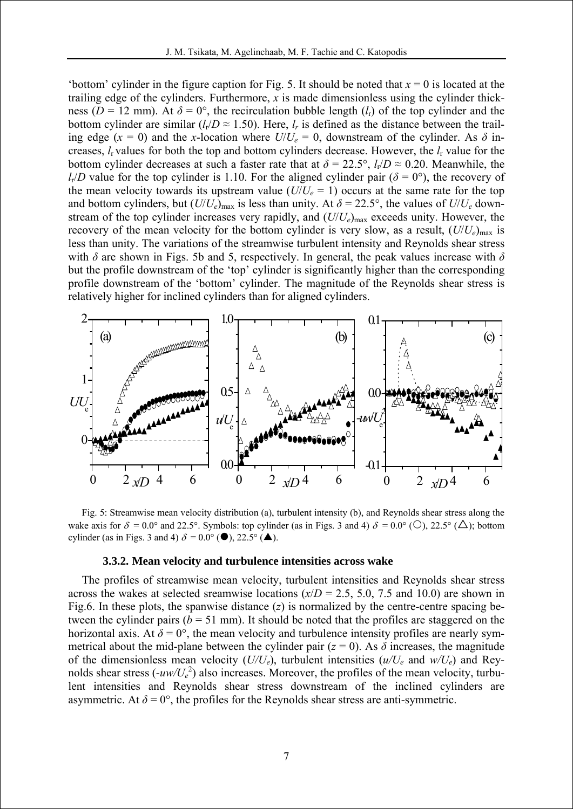'bottom' cylinder in the figure caption for Fig. 5. It should be noted that  $x = 0$  is located at the trailing edge of the cylinders. Furthermore, *x* is made dimensionless using the cylinder thickness ( $D = 12$  mm). At  $\delta = 0^{\circ}$ , the recirculation bubble length ( $l_r$ ) of the top cylinder and the bottom cylinder are similar  $(l_r/D \approx 1.50)$ . Here,  $l_r$  is defined as the distance between the trailing edge ( $x = 0$ ) and the *x*-location where  $U/U_e = 0$ , downstream of the cylinder. As  $\delta$  increases, *l*r values for both the top and bottom cylinders decrease. However, the *l*r value for the bottom cylinder decreases at such a faster rate that at  $\delta = 22.5^{\circ}$ ,  $l_r/D \approx 0.20$ . Meanwhile, the *l<sub>r</sub>*/*D* value for the top cylinder is 1.10. For the aligned cylinder pair ( $\delta = 0^{\circ}$ ), the recovery of the mean velocity towards its upstream value  $(U/U_e = 1)$  occurs at the same rate for the top and bottom cylinders, but  $(U/U_e)_{max}$  is less than unity. At  $\delta = 22.5^{\circ}$ , the values of  $U/U_e$  downstream of the top cylinder increases very rapidly, and  $(U/U_e)_{max}$  exceeds unity. However, the recovery of the mean velocity for the bottom cylinder is very slow, as a result,  $(U/U_e)_{max}$  is less than unity. The variations of the streamwise turbulent intensity and Reynolds shear stress with  $\delta$  are shown in Figs. 5b and 5, respectively. In general, the peak values increase with  $\delta$ but the profile downstream of the 'top' cylinder is significantly higher than the corresponding profile downstream of the 'bottom' cylinder. The magnitude of the Reynolds shear stress is relatively higher for inclined cylinders than for aligned cylinders.



Fig. 5: Streamwise mean velocity distribution (a), turbulent intensity (b), and Reynolds shear stress along the wake axis for  $\delta = 0.0^{\circ}$  and 22.5°. Symbols: top cylinder (as in Figs. 3 and 4)  $\delta = 0.0^{\circ}$  (O), 22.5° ( $\Delta$ ); bottom cylinder (as in Figs. 3 and 4)  $\delta = 0.0^{\circ}$  ( $\bullet$ ), 22.5° ( $\bullet$ ).

#### **3.3.2. Mean velocity and turbulence intensities across wake**

The profiles of streamwise mean velocity, turbulent intensities and Reynolds shear stress across the wakes at selected sreamwise locations  $(x/D = 2.5, 5.0, 7.5, 0.0)$  are shown in Fig.6. In these plots, the spanwise distance (*z*) is normalized by the centre-centre spacing between the cylinder pairs ( $b = 51$  mm). It should be noted that the profiles are staggered on the horizontal axis. At  $\delta = 0^{\circ}$ , the mean velocity and turbulence intensity profiles are nearly symmetrical about the mid-plane between the cylinder pair  $(z = 0)$ . As  $\delta$  increases, the magnitude of the dimensionless mean velocity  $(U/U_e)$ , turbulent intensities  $(u/U_e)$  and  $W/U_e$  and Reynolds shear stress  $(-uw/U_e^2)$  also increases. Moreover, the profiles of the mean velocity, turbulent intensities and Reynolds shear stress downstream of the inclined cylinders are asymmetric. At  $\delta = 0^{\circ}$ , the profiles for the Reynolds shear stress are anti-symmetric.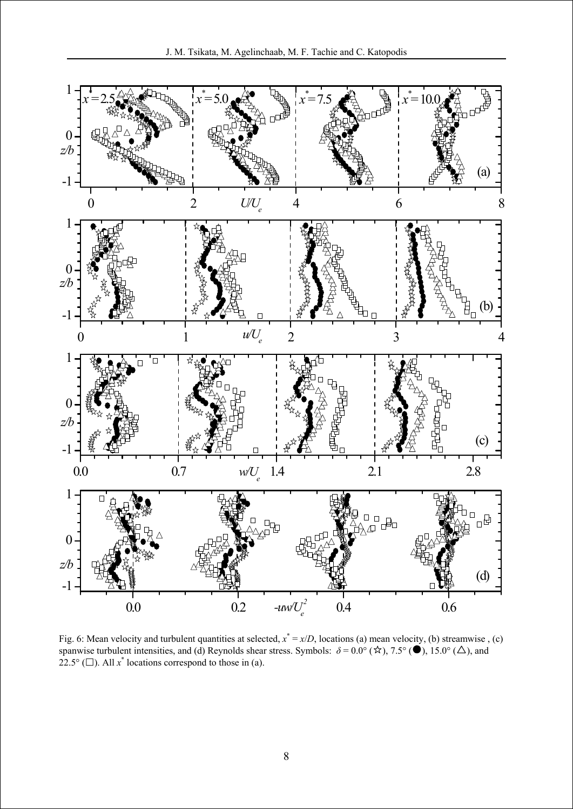

Fig. 6: Mean velocity and turbulent quantities at selected,  $x^* = x/D$ , locations (a) mean velocity, (b) streamwise, (c) spanwise turbulent intensities, and (d) Reynolds shear stress. Symbols:  $\delta = 0.0^{\circ}$  ( $\star$ ), 7.5° ( $\bullet$ ), 15.0° ( $\Delta$ ), and 22.5° ( $\square$ ). All  $x^*$  locations correspond to those in (a).